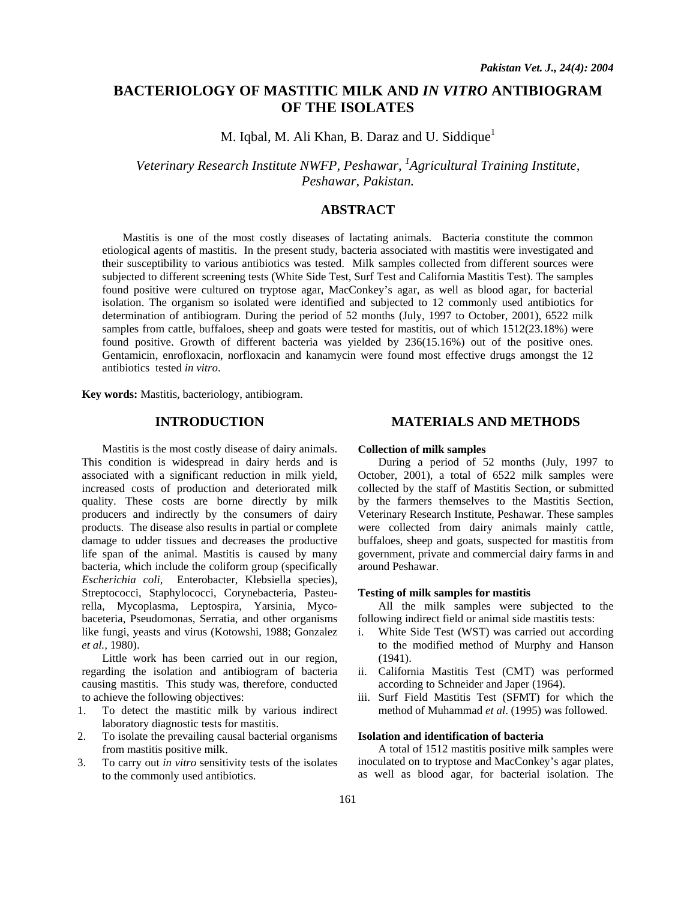# **BACTERIOLOGY OF MASTITIC MILK AND** *IN VITRO* **ANTIBIOGRAM OF THE ISOLATES**

M. Iqbal, M. Ali Khan, B. Daraz and U. Siddique<sup>1</sup>

*Veterinary Research Institute NWFP, Peshawar, 1 Agricultural Training Institute, Peshawar, Pakistan.* 

## **ABSTRACT**

Mastitis is one of the most costly diseases of lactating animals. Bacteria constitute the common etiological agents of mastitis. In the present study, bacteria associated with mastitis were investigated and their susceptibility to various antibiotics was tested. Milk samples collected from different sources were subjected to different screening tests (White Side Test, Surf Test and California Mastitis Test). The samples found positive were cultured on tryptose agar, MacConkey's agar, as well as blood agar, for bacterial isolation. The organism so isolated were identified and subjected to 12 commonly used antibiotics for determination of antibiogram. During the period of 52 months (July, 1997 to October, 2001), 6522 milk samples from cattle, buffaloes, sheep and goats were tested for mastitis, out of which 1512(23.18%) were found positive. Growth of different bacteria was yielded by 236(15.16%) out of the positive ones. Gentamicin, enrofloxacin, norfloxacin and kanamycin were found most effective drugs amongst the 12 antibiotics tested *in vitro*.

**Key words:** Mastitis, bacteriology, antibiogram.

### **INTRODUCTION**

Mastitis is the most costly disease of dairy animals. This condition is widespread in dairy herds and is associated with a significant reduction in milk yield, increased costs of production and deteriorated milk quality. These costs are borne directly by milk producers and indirectly by the consumers of dairy products. The disease also results in partial or complete damage to udder tissues and decreases the productive life span of the animal. Mastitis is caused by many bacteria, which include the coliform group (specifically *Escherichia coli*, Enterobacter, Klebsiella species), Streptococci, Staphylococci, Corynebacteria, Pasteurella, Mycoplasma, Leptospira, Yarsinia, Mycobaceteria, Pseudomonas, Serratia, and other organisms like fungi, yeasts and virus (Kotowshi, 1988; Gonzalez *et al.,* 1980).

Little work has been carried out in our region, regarding the isolation and antibiogram of bacteria causing mastitis. This study was, therefore, conducted to achieve the following objectives:

- 1. To detect the mastitic milk by various indirect laboratory diagnostic tests for mastitis.
- 2. To isolate the prevailing causal bacterial organisms from mastitis positive milk.
- 3. To carry out *in vitro* sensitivity tests of the isolates to the commonly used antibiotics.

### **MATERIALS AND METHODS**

#### **Collection of milk samples**

During a period of 52 months (July, 1997 to October, 2001), a total of 6522 milk samples were collected by the staff of Mastitis Section, or submitted by the farmers themselves to the Mastitis Section, Veterinary Research Institute, Peshawar. These samples were collected from dairy animals mainly cattle, buffaloes, sheep and goats, suspected for mastitis from government, private and commercial dairy farms in and around Peshawar.

#### **Testing of milk samples for mastitis**

All the milk samples were subjected to the following indirect field or animal side mastitis tests:

- i. White Side Test (WST) was carried out according to the modified method of Murphy and Hanson (1941).
- ii. California Mastitis Test (CMT) was performed according to Schneider and Japer (1964).
- iii. Surf Field Mastitis Test (SFMT) for which the method of Muhammad *et al*. (1995) was followed.

#### **Isolation and identification of bacteria**

A total of 1512 mastitis positive milk samples were inoculated on to tryptose and MacConkey's agar plates, as well as blood agar, for bacterial isolation. The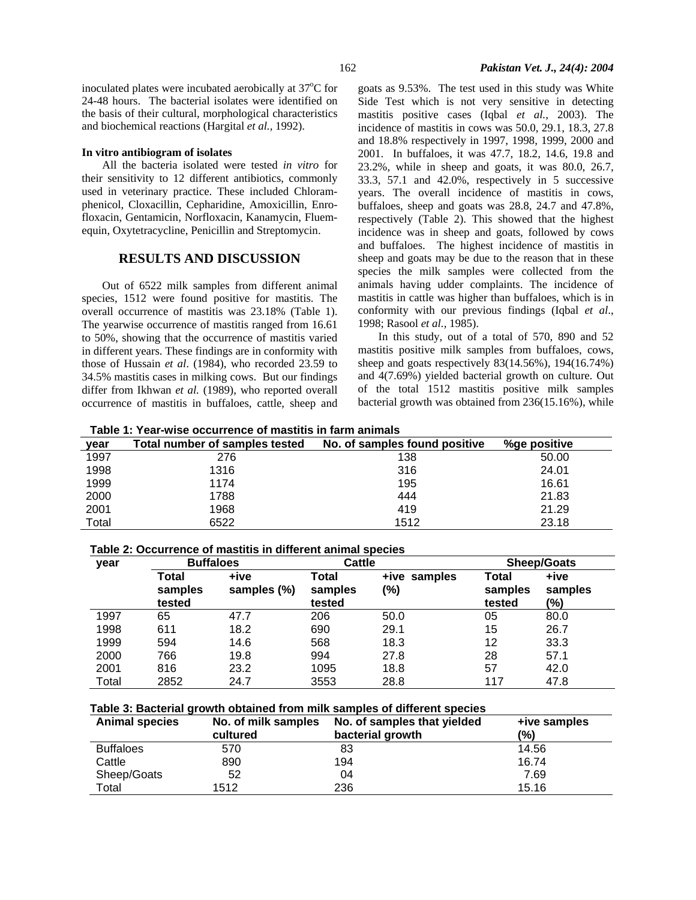#### **In vitro antibiogram of isolates**

All the bacteria isolated were tested *in vitro* for their sensitivity to 12 different antibiotics, commonly used in veterinary practice. These included Chloramphenicol, Cloxacillin, Cepharidine, Amoxicillin, Enrofloxacin, Gentamicin, Norfloxacin, Kanamycin, Fluemequin, Oxytetracycline, Penicillin and Streptomycin.

## **RESULTS AND DISCUSSION**

Out of 6522 milk samples from different animal species, 1512 were found positive for mastitis. The overall occurrence of mastitis was 23.18% (Table 1). The yearwise occurrence of mastitis ranged from 16.61 to 50%, showing that the occurrence of mastitis varied in different years. These findings are in conformity with those of Hussain *et al*. (1984), who recorded 23.59 to 34.5% mastitis cases in milking cows. But our findings differ from Ikhwan *et al.* (1989), who reported overall occurrence of mastitis in buffaloes, cattle, sheep and goats as 9.53%. The test used in this study was White Side Test which is not very sensitive in detecting mastitis positive cases (Iqbal *et al.,* 2003). The incidence of mastitis in cows was 50.0, 29.1, 18.3, 27.8 and 18.8% respectively in 1997, 1998, 1999, 2000 and 2001. In buffaloes, it was 47.7, 18.2, 14.6, 19.8 and 23.2%, while in sheep and goats, it was 80.0, 26.7, 33.3, 57.1 and 42.0%, respectively in 5 successive years. The overall incidence of mastitis in cows, buffaloes, sheep and goats was 28.8, 24.7 and 47.8%, respectively (Table 2). This showed that the highest incidence was in sheep and goats, followed by cows and buffaloes. The highest incidence of mastitis in sheep and goats may be due to the reason that in these species the milk samples were collected from the animals having udder complaints. The incidence of mastitis in cattle was higher than buffaloes, which is in conformity with our previous findings (Iqbal *et al*., 1998; Rasool *et al.,* 1985).

In this study, out of a total of 570, 890 and 52 mastitis positive milk samples from buffaloes, cows, sheep and goats respectively 83(14.56%), 194(16.74%) and 4(7.69%) yielded bacterial growth on culture. Out of the total 1512 mastitis positive milk samples bacterial growth was obtained from 236(15.16%), while

**Table 1: Year-wise occurrence of mastitis in farm animals** 

| year  | Total number of samples tested | No. of samples found positive | %ge positive |
|-------|--------------------------------|-------------------------------|--------------|
| 1997  | 276                            | 138                           | 50.00        |
| 1998  | 1316                           | 316                           | 24.01        |
| 1999  | 1174                           | 195                           | 16.61        |
| 2000  | 1788                           | 444                           | 21.83        |
| 2001  | 1968                           | 419                           | 21.29        |
| Total | 6522                           | 1512                          | 23.18        |

#### **Table 2: Occurrence of mastitis in different animal species**

| year  | <b>Buffaloes</b>           |                     | Cattle                     |                     | <b>Sheep/Goats</b>         |                        |
|-------|----------------------------|---------------------|----------------------------|---------------------|----------------------------|------------------------|
|       | Total<br>samples<br>tested | +ive<br>samples (%) | Total<br>samples<br>tested | +ive samples<br>(%) | Total<br>samples<br>tested | +ive<br>samples<br>(%) |
| 1997  | 65                         | 47.7                | 206                        | 50.0                | 05                         | 80.0                   |
| 1998  | 611                        | 18.2                | 690                        | 29.1                | 15                         | 26.7                   |
| 1999  | 594                        | 14.6                | 568                        | 18.3                | 12                         | 33.3                   |
| 2000  | 766                        | 19.8                | 994                        | 27.8                | 28                         | 57.1                   |
| 2001  | 816                        | 23.2                | 1095                       | 18.8                | 57                         | 42.0                   |
| Total | 2852                       | 24.7                | 3553                       | 28.8                | 117                        | 47.8                   |

#### **Table 3: Bacterial growth obtained from milk samples of different species**

| <b>Animal species</b> | No. of milk samples | No. of samples that yielded | +ive samples |  |
|-----------------------|---------------------|-----------------------------|--------------|--|
|                       | cultured            | bacterial growth            | (%)          |  |
| <b>Buffaloes</b>      | 570                 | 83                          | 14.56        |  |
| Cattle                | 890                 | 194                         | 16.74        |  |
| Sheep/Goats           | 52                  | 04                          | 7.69         |  |
| Total                 | 1512                | 236                         | 15.16        |  |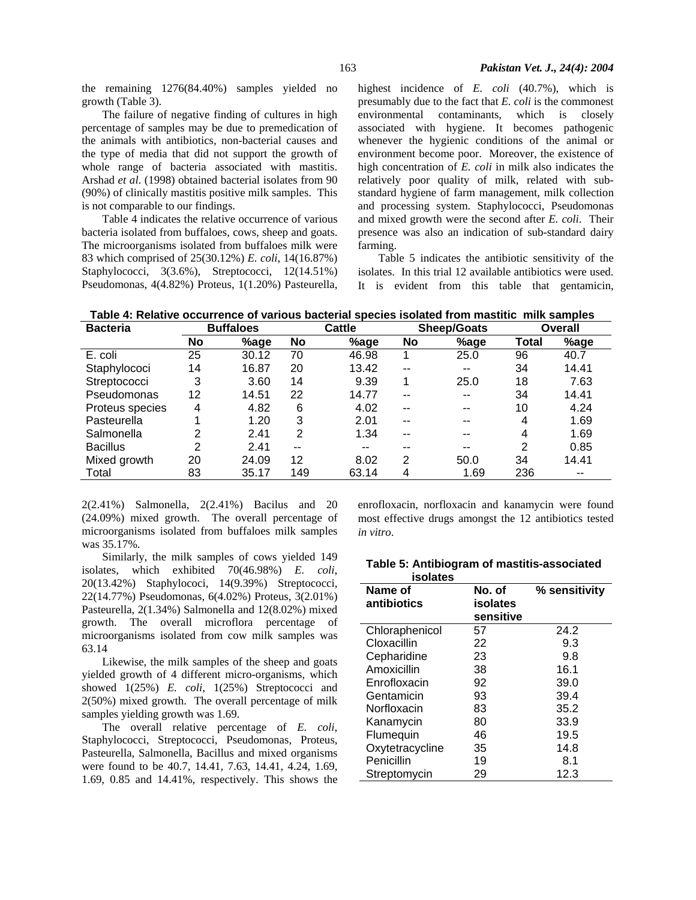the remaining 1276(84.40%) samples yielded no growth (Table 3).

The failure of negative finding of cultures in high percentage of samples may be due to premedication of the animals with antibiotics, non-bacterial causes and the type of media that did not support the growth of whole range of bacteria associated with mastitis. Arshad *et al*. (1998) obtained bacterial isolates from 90 (90%) of clinically mastitis positive milk samples. This is not comparable to our findings.

Table 4 indicates the relative occurrence of various bacteria isolated from buffaloes, cows, sheep and goats. The microorganisms isolated from buffaloes milk were 83 which comprised of 25(30.12%) *E. coli*, 14(16.87%) Staphylococci, 3(3.6%), Streptococci, 12(14.51%) Pseudomonas, 4(4.82%) Proteus, 1(1.20%) Pasteurella,

highest incidence of *E. coli* (40.7%), which is presumably due to the fact that *E. coli* is the commonest environmental contaminants, which is closely associated with hygiene. It becomes pathogenic whenever the hygienic conditions of the animal or environment become poor. Moreover, the existence of high concentration of *E. coli* in milk also indicates the relatively poor quality of milk, related with substandard hygiene of farm management, milk collection and processing system. Staphylococci, Pseudomonas and mixed growth were the second after *E. coli*. Their presence was also an indication of sub-standard dairy farming.

Table 5 indicates the antibiotic sensitivity of the isolates. In this trial 12 available antibiotics were used. It is evident from this table that gentamicin,

**Table 4: Relative occurrence of various bacterial species isolated from mastitic milk samples** 

| <b>Bacteria</b> | <b>Buffaloes</b> |       | Cattle         |       | <b>Sheep/Goats</b> |       | Overall        |       |
|-----------------|------------------|-------|----------------|-------|--------------------|-------|----------------|-------|
|                 | No               | %age  | No             | %age  | No                 | %age  | Total          | %age  |
| E. coli         | 25               | 30.12 | 70             | 46.98 |                    | 25.0  | 96             | 40.7  |
| Staphylococi    | 14               | 16.87 | 20             | 13.42 | --                 | $- -$ | 34             | 14.41 |
| Streptococci    | 3                | 3.60  | 14             | 9.39  | 1                  | 25.0  | 18             | 7.63  |
| Pseudomonas     | 12               | 14.51 | 22             | 14.77 | --                 | $-$   | 34             | 14.41 |
| Proteus species | 4                | 4.82  | 6              | 4.02  | --                 | $- -$ | 10             | 4.24  |
| Pasteurella     |                  | 1.20  | 3              | 2.01  | --                 | $- -$ | 4              | 1.69  |
| Salmonella      | 2                | 2.41  | $\overline{2}$ | 1.34  | --                 | $- -$ | 4              | 1.69  |
| <b>Bacillus</b> | $\overline{2}$   | 2.41  | $- -$          | $- -$ | --                 | $- -$ | $\overline{2}$ | 0.85  |
| Mixed growth    | 20               | 24.09 | 12             | 8.02  | 2                  | 50.0  | 34             | 14.41 |
| Total           | 83               | 35.17 | 149            | 63.14 | 4                  | 1.69  | 236            | $- -$ |

2(2.41%) Salmonella, 2(2.41%) Bacilus and 20 (24.09%) mixed growth. The overall percentage of microorganisms isolated from buffaloes milk samples was 35.17%.

Similarly, the milk samples of cows yielded 149 isolates, which exhibited 70(46.98%) *E. coli*, 20(13.42%) Staphylococi, 14(9.39%) Streptococci, 22(14.77%) Pseudomonas, 6(4.02%) Proteus, 3(2.01%) Pasteurella, 2(1.34%) Salmonella and 12(8.02%) mixed growth. The overall microflora percentage of microorganisms isolated from cow milk samples was 63.14

Likewise, the milk samples of the sheep and goats yielded growth of 4 different micro-organisms, which showed 1(25%) *E. coli*, 1(25%) Streptococci and 2(50%) mixed growth. The overall percentage of milk samples yielding growth was 1.69.

The overall relative percentage of *E. coli*, Staphylococci, Streptococci, Pseudomonas, Proteus, Pasteurella, Salmonella, Bacillus and mixed organisms were found to be 40.7, 14.41, 7.63, 14.41, 4.24, 1.69, 1.69, 0.85 and 14.41%, respectively. This shows the

enrofloxacin, norfloxacin and kanamycin were found most effective drugs amongst the 12 antibiotics tested *in vitro*.

|          | Table 5: Antibiogram of mastitis-associated |
|----------|---------------------------------------------|
| isolates |                                             |

| Name of<br>antibiotics | No. of<br>isolates<br>sensitive | % sensitivity |
|------------------------|---------------------------------|---------------|
| Chloraphenicol         | 57                              | 24.2          |
| Cloxacillin            | 22                              | 9.3           |
| Cepharidine            | 23                              | 9.8           |
| Amoxicillin            | 38                              | 16.1          |
| Enrofloxacin           | 92                              | 39.0          |
| Gentamicin             | 93                              | 39.4          |
| Norfloxacin            | 83                              | 35.2          |
| Kanamycin              | 80                              | 33.9          |
| Flumequin              | 46                              | 19.5          |
| Oxytetracycline        | 35                              | 14.8          |
| Penicillin             | 19                              | 8.1           |
| Streptomycin           | 29                              | 12.3          |